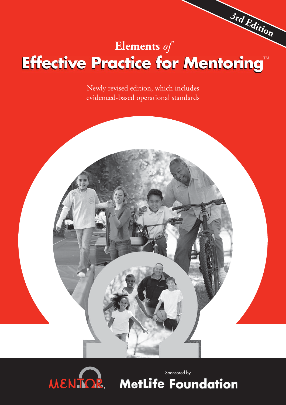# **3rd Edition Effective Practice for Mentoring™ Elements** *of*

Newly revised edition, which includes evidenced-based operational standards



Sponsored by**MetLife Foundation**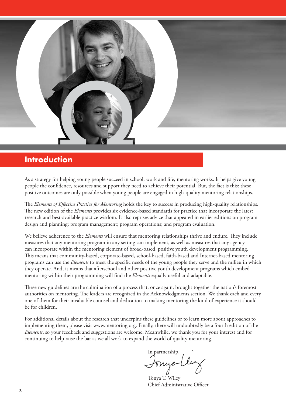# **Introduction**

As a strategy for helping young people succeed in school, work and life, mentoring works. It helps give young people the confidence, resources and support they need to achieve their potential. But, the fact is this: these positive outcomes are only possible when young people are engaged in high-quality mentoring relationships.

The *Elements of Effective Practice for Mentoring* holds the key to success in producing high-quality relationships. The new edition of the *Elements* provides six evidence-based standards for practice that incorporate the latest research and best-available practice wisdom. It also reprises advice that appeared in earlier editions on program design and planning; program management; program operations; and program evaluation.

We believe adherence to the *Elements* will ensure that mentoring relationships thrive and endure. They include measures that any mentoring program in any setting can implement, as well as measures that any agency can incorporate within the mentoring element of broad-based, positive youth development programming. This means that community-based, corporate-based, school-based, faith-based and Internet-based mentoring programs can use the *Elements* to meet the specific needs of the young people they serve and the milieu in which they operate. And, it means that afterschool and other positive youth development programs which embed mentoring within their programming will find the *Elements* equally useful and adaptable.

These new guidelines are the culmination of a process that, once again, brought together the nation's foremost authorities on mentoring. The leaders are recognized in the Acknowledgments section. We thank each and every one of them for their invaluable counsel and dedication to making mentoring the kind of experience it should be for children.

For additional details about the research that underpins these guidelines or to learn more about approaches to implementing them, please visit www.mentoring.org. Finally, there will undoubtedly be a fourth edition of the *Elements*, so your feedback and suggestions are welcome. Meanwhile, we thank you for your interest and for continuing to help raise the bar as we all work to expand the world of quality mentoring.

In partnership, Sonyel

Tonya T. Wiley Chief Administrative Officer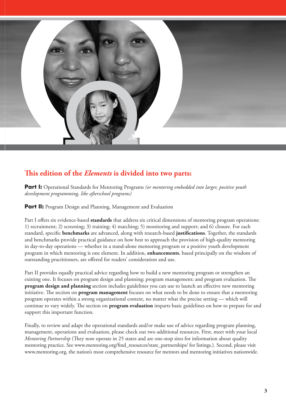

# This edition of the *Elements* is divided into two parts:

**Part I:** Operational Standards for Mentoring Programs *(or mentoring embedded into larger, positive youth development programming, like afterschool programs)*

**Part II:** Program Design and Planning, Management and Evaluation

Part I offers six evidence-based **standards** that address six critical dimensions of mentoring program operations: 1) recruitment; 2) screening; 3) training; 4) matching; 5) monitoring and support; and 6) closure. For each standard, specific **benchmarks** are advanced, along with research-based justifications. Together, the standards and benchmarks provide practical guidance on how best to approach the provision of high-quality mentoring in day-to-day operations — whether in a stand-alone mentoring program or a positive youth development program in which mentoring is one element. In addition, **enhancements**, based principally on the wisdom of outstanding practitioners, are offered for readers' consideration and use.

Part II provides equally practical advice regarding how to build a new mentoring program or strengthen an existing one. It focuses on program design and planning; program management; and program evaluation. The **program design and planning** section includes guidelines you can use to launch an effective new mentoring initiative. The section on **program management** focuses on what needs to be done to ensure that a mentoring program operates within a strong organizational context, no matter what the precise setting — which will continue to vary widely. The section on **program evaluation** imparts basic guidelines on how to prepare for and support this important function.

Finally, to review and adapt the operational standards and/or make use of advice regarding program planning, management, operations and evaluation, please check out two additional resources. First, meet with your local *Mentoring Partnership* (They now operate in 25 states and are one-stop sites for information about quality mentoring practice. See www.mentoring.org/find\_resources/state\_partnerships/ for listings.). Second, please visit www.mentoring.org, the nation's most comprehensive resource for mentors and mentoring initiatives nationwide.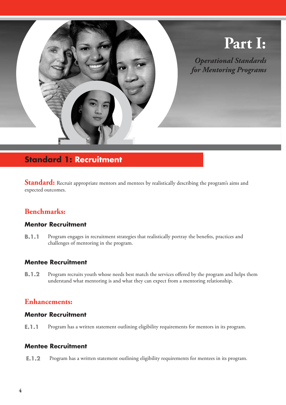

# **Standard 1: Recruitment**

Standard: Recruit appropriate mentors and mentees by realistically describing the program's aims and expected outcomes.

# **Benchmarks:**

#### **Mentor Recruitment**

**B.1.1** Program engages in recruitment strategies that realistically portray the benefits, practices and challenges of mentoring in the program.

## **Mentee Recruitment**

**B.1.2** Program recruits youth whose needs best match the services offered by the program and helps them understand what mentoring is and what they can expect from a mentoring relationship.

## **Enhancements:**

#### **Mentor Recruitment**

**E.1.1** Program has a written statement outlining eligibility requirements for mentors in its program.

#### **Mentee Recruitment**

**E.1.2** Program has a written statement outlining eligibility requirements for mentees in its program.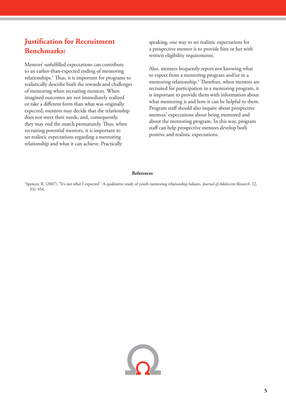# **Justification for Recruitment Benchmarks:**

Mentors' unfulfilled expectations can contribute to an earlier-than-expected ending of mentoring relationships.<sup>1</sup> Thus, it is important for programs to realistically describe both the rewards and challenges of mentoring when recruiting mentors. When imagined outcomes are not immediately realized or take a different form than what was originally expected, mentors may decide that the relationship does not meet their needs, and, consequently, they may end the match prematurely. Thus, when recruiting potential mentors, it is important to set realistic expectations regarding a mentoring relationship and what it can achieve. Practically

speaking, one way to set realistic expectations for a prospective mentor is to provide him or her with written eligibility requirements.

Also, mentees frequently report not knowing what to expect from a mentoring program and/or in a mentoring relationship.<sup>1</sup> Therefore, when mentees are recruited for participation in a mentoring program, it is important to provide them with information about what mentoring is and how it can be helpful to them. Program staff should also inquire about prospective mentees' expectations about being mentored and about the mentoring program. In this way, program staff can help prospective mentees develop both positive and realistic expectations.

#### **References**

1 Spencer, R. (2007). "It's not what I expected": A qualitative study of youth mentoring relationship failures. *Journal of Adolescent Research,* 22, 331-354.

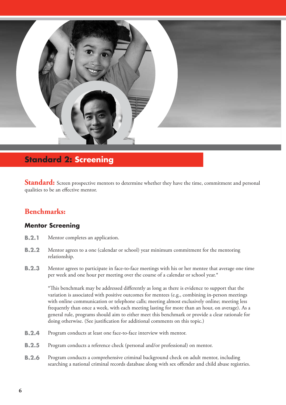

# **Standard 2: Screening**

**Standard:** Screen prospective mentors to determine whether they have the time, commitment and personal qualities to be an effective mentor.

# **Benchmarks:**

#### **Mentor Screening**

- **B.2.1** Mentor completes an application.
- **B.2.2** Mentor agrees to a one (calendar or school) year minimum commitment for the mentoring relationship.
- **B.2.3** Mentor agrees to participate in face-to-face meetings with his or her mentee that average one time per week and one hour per meeting over the course of a calendar or school year.\*

\*Th is benchmark may be addressed diff erently as long as there is evidence to support that the variation is associated with positive outcomes for mentees (e.g., combining in-person meetings with online communication or telephone calls; meeting almost exclusively online; meeting less frequently than once a week, with each meeting lasting for more than an hour, on average). As a general rule, programs should aim to either meet this benchmark or provide a clear rationale for doing otherwise. (See justification for additional comments on this topic.)

- **B.2.4** Program conducts at least one face-to-face interview with mentor.
- **B.2.5** Program conducts a reference check (personal and/or professional) on mentor.
- **B.2.6** Program conducts a comprehensive criminal background check on adult mentor, including searching a national criminal records database along with sex offender and child abuse registries.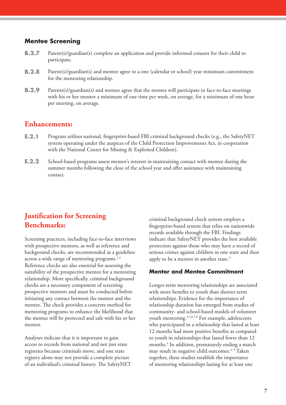#### **Mentee Screening**

- **B.2.7** Parent(s)/guardian(s) complete an application and provide informed consent for their child to participate.
- **B.2.8** Parent(s)/guardian(s) and mentee agree to a one (calendar or school) year minimum commitment for the mentoring relationship.
- **B.2.9** Parents(s)/guardian(s) and mentee agree that the mentee will participate in face-to-face meetings with his or her mentor a minimum of one time per week, on average, for a minimum of one hour per meeting, on average.

## **Enhancements:**

- **E.2.1** Program utilizes national, fingerprint-based FBI criminal background checks (e.g., the SafetyNET system operating under the auspices of the Child Protection Improvements Act, in cooperation with the National Center for Missing & Exploited Children).
- **E.2.2** School-based programs assess mentor's interest in maintaining contact with mentee during the summer months following the close of the school year and offer assistance with maintaining contact.

# **Justification for Screening Benchmarks:**

Screening practices, including face-to-face interviews with prospective mentors, as well as reference and background checks, are recommended as a guideline across a wide range of mentoring programs.<sup>1,2</sup> Reference checks are also essential for assessing the suitability of the prospective mentor for a mentoring relationship. More specifically, criminal background checks are a necessary component of screening prospective mentors and must be conducted before initiating any contact between the mentor and the mentee. The check provides a concrete method for mentoring programs to enhance the likelihood that the mentee will be protected and safe with his or her mentor.

Analyses indicate that it is important to gain access to records from national and not just state registries because criminals move, and one state registry alone may not provide a complete picture of an individual's criminal history. The SafetyNET criminal background check system employs a fingerprint-based system that relies on nationwide records available through the FBI. Findings indicate that SafetyNET provides the best available protection against those who may have a record of serious crimes against children in one state and then apply to be a mentor in another state.<sup>3</sup>

#### **Mentor and Mentee Commitment**

Longer-term mentoring relationships are associated with more benefits to youth than shorter-term relationships. Evidence for the importance of relationship duration has emerged from studies of community- and school-based models of volunteer youth mentoring.<sup>4,5,6,7,8</sup> For example, adolescents who participated in a relationship that lasted at least 12 months had more positive benefits as compared to youth in relationships that lasted fewer than 12 months.4 In addition, prematurely ending a match may result in negative child outcomes.<sup>4, 9</sup> Taken together, these studies establish the importance of mentoring relationships lasting for at least one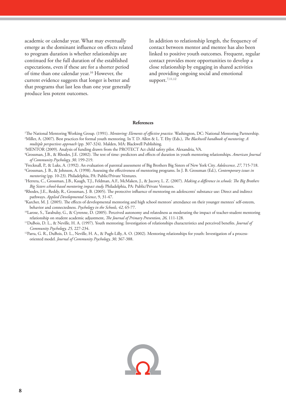academic or calendar year. What may eventually emerge as the dominant influence on effects related to program duration is whether relationships are continued for the full duration of the established expectations, even if these are for a shorter period of time than one calendar year.<sup>10</sup> However, the current evidence suggests that longer is better and that programs that last less than one year generally produce less potent outcomes.

In addition to relationship length, the frequency of contact between mentor and mentee has also been linked to positive youth outcomes. Frequent, regular contact provides more opportunities to develop a close relationship by engaging in shared activities and providing ongoing social and emotional support. $7,11,12$ 

#### **References**

- <sup>1</sup>The National Mentoring Working Group. (1991). *Mentoring: Elements of effective practice.* Washington, DC: National Mentoring Partnership.<br><sup>2</sup>Miller A. (2007). Best practices for formal vouth mentoring. In T. D. Allen & <sup>2</sup>Miller, A. (2007). Best practices for formal youth mentoring. In T. D. Allen & L. T. Eby (Eds.), *The Blackwell handbook of mentoring: A multiple perspectives approach* (pp. 307-324). Malden, MA: Blackwell Publishing.
- 3 MENTOR (2009). Analysis of funding drawn from the PROTECT Act child safety pilot. Alexandria, VA.
- <sup>4</sup>Grossman, J.B., & Rhodes, J.E. (2002). The test of time: predictors and effects of duration in youth mentoring relationships. *American Journal of Community Psychology, 30,* 199-219.
- <sup>5</sup>Frecknall, P., & Luks, A. (1992). An evaluation of parental assessment of Big Brothers Big Sisters of New York City. *Adolescence, 27,* 715-718.<br><sup>6</sup>Crossman J. B. & Johnson A. (1998). Assessing the effectiveness of ment
- <sup>6</sup>Grossman, J. B., & Johnson, A. (1998). Assessing the effectiveness of mentoring programs. In J. B. Grossman (Ed.), *Contemporary issues in mentoring* (pp. 10-23). Philadelphia, PA: Public/Private Ventures.
- <sup>7</sup>Herrera, C., Grossman, J.B., Kaugh, T.J., Feldman, A.F., McMaken, J., & Jucovy, L. Z. (2007). *Making a difference in schools: The Big Brothers Big Sisters school-based mentoring impact study.* Philadelphia, PA: Public/Private Ventures.
- <sup>8</sup>Rhodes, J.E., Reddy, R., Grossman, J. B. (2005). The protective influence of mentoring on adolescents' substance use: Direct and indirect pathways. *Applied Developmental Science*, 9, 31-47.
- <sup>9</sup>Karcher, M. J. (2005). The effects of developmental mentoring and high school mentors' attendance on their younger mentees' self-esteem, behavior and connectedness. *Psychology in the Schools, 42,* 65-77.
- 10Larose, S., Tarabulsy, G., & Cyrenne, D. (2005). Perceived autonomy and relatedness as moderating the impact of teacher-student mentoring relationship on student academic adjustment, *The Journal of Primary Prevention*, 26, 111-128.
- <sup>11</sup>DuBois, D. L., & Neville, H. A. (1997). Youth mentoring: Investigation of relationships characteristics and perceived benefits. *Journal of Community Psychology, 25, 227-234.* 12Parra, G. A., & Pugh-Lilly, A. O. (2002). Mentoring relationships for youth: Investigation of a process-
- oriented model. *Journal of Community Psychology, 30,* 367-388.

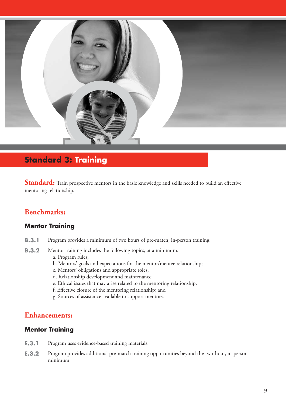

# **Standard 3: Training**

Standard: Train prospective mentors in the basic knowledge and skills needed to build an effective mentoring relationship.

# **Benchmarks:**

#### **Mentor Training**

- **B.3.1** Program provides a minimum of two hours of pre-match, in-person training.
- **B.3.2** Mentor training includes the following topics, at a minimum:
	- a. Program rules;
	- b. Mentors' goals and expectations for the mentor/mentee relationship;
	- c. Mentors' obligations and appropriate roles;
	- d. Relationship development and maintenance;
	- e. Ethical issues that may arise related to the mentoring relationship;
	- f. Effective closure of the mentoring relationship; and
	- g. Sources of assistance available to support mentors.

## **Enhancements:**

#### **Mentor Training**

- **E.3.1** Program uses evidence-based training materials.
- **E.3.2** Program provides additional pre-match training opportunities beyond the two-hour, in-person minimum.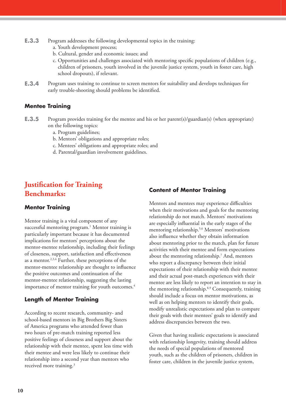- **E.3.3** Program addresses the following developmental topics in the training:
	- a. Youth development process;
	- b. Cultural, gender and economic issues; and
	- c. Opportunities and challenges associated with mentoring specifi c populations of children (e.g., children of prisoners, youth involved in the juvenile justice system, youth in foster care, high school dropouts), if relevant.
- **E.3.4** Program uses training to continue to screen mentors for suitability and develops techniques for early trouble-shooting should problems be identified.

#### **Mentee Training**

- **E.3.5** Program provides training for the mentee and his or her parent(s)/guardian(s) (when appropriate) on the following topics:
	- a. Program guidelines;
	- b. Mentors' obligations and appropriate roles;
	- c. Mentees' obligations and appropriate roles; and
	- d. Parental/guardian involvement guidelines.

# **Justification for Training Benchmarks:**

#### **Mentor Training**

Mentor training is a vital component of any successful mentoring program.<sup>1</sup> Mentor training is particularly important because it has documented implications for mentors' perceptions about the mentor-mentee relationship, including their feelings of closeness, support, satisfaction and effectiveness as a mentor.<sup>2,3,4</sup> Further, these perceptions of the mentor-mentee relationship are thought to influence the positive outcomes and continuation of the mentor-mentee relationship, suggesting the lasting importance of mentor training for youth outcomes.<sup>4</sup>

#### **Length of Mentor Training**

According to recent research, community- and school-based mentors in Big Brothers Big Sisters of America programs who attended fewer than two hours of pre-match training reported less positive feelings of closeness and support about the relationship with their mentee, spent less time with their mentee and were less likely to continue their relationship into a second year than mentors who received more training.3

#### **Content of Mentor Training**

Mentors and mentees may experience difficulties when their motivations and goals for the mentoring relationship do not match. Mentors' motivations are especially influential in the early stages of the mentoring relationship.5,6 Mentors' motivations also influence whether they obtain information about mentoring prior to the match, plan for future activities with their mentee and form expectations about the mentoring relationship.7 And, mentors who report a discrepancy between their initial expectations of their relationship with their mentee and their actual post-match experiences with their mentee are less likely to report an intention to stay in the mentoring relationship.<sup>8,9</sup> Consequently, training should include a focus on mentor motivations, as well as on helping mentors to identify their goals, modify unrealistic expectations and plan to compare their goals with their mentees' goals to identify and address discrepancies between the two.

Given that having realistic expectations is associated with relationship longevity, training should address the needs of special populations of mentored youth, such as the children of prisoners, children in foster care, children in the juvenile justice system,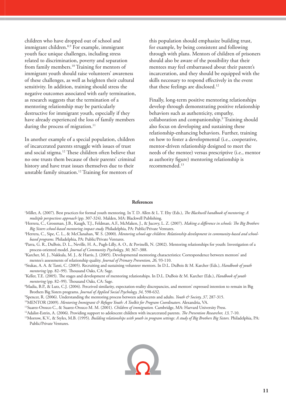children who have dropped out of school and immigrant children.<sup>8,9</sup> For example, immigrant youth face unique challenges, including stress related to discrimination, poverty and separation from family members.<sup>10</sup> Training for mentors of immigrant youth should raise volunteers' awareness of these challenges, as well as heighten their cultural sensitivity. In addition, training should stress the negative outcomes associated with early termination, as research suggests that the termination of a mentoring relationship may be particularly destructive for immigrant youth, especially if they have already experienced the loss of family members during the process of migration.<sup>11</sup>

In another example of a special population, children of incarcerated parents struggle with issues of trust and social stigma.<sup>12</sup> These children often believe that no one trusts them because of their parents' criminal history and have trust issues themselves due to their unstable family situation.12 Training for mentors of

this population should emphasize building trust, for example, by being consistent and following through with plans. Mentors of children of prisoners should also be aware of the possibility that their mentees may feel embarrassed about their parent's incarceration, and they should be equipped with the skills necessary to respond effectively in the event that these feelings are disclosed.<sup>12</sup>

Finally, long-term positive mentoring relationships develop through demonstrating positive relationship behaviors such as authenticity, empathy, collaboration and companionship.9 Training should also focus on developing and sustaining these relationship-enhancing behaviors. Further, training on how to foster a developmental (i.e., cooperative, mentor-driven relationship designed to meet the needs of the mentee) versus prescriptive (i.e., mentor as authority figure) mentoring relationship is recommended.13

#### **References**

- <sup>1</sup>Miller, A. (2007). Best practices for formal youth mentoring. In T. D. Allen & L. T. Eby (Eds.), *The Blackwell handbook of mentoring: A multiple perspectives approach* (pp. 307-324). Malden, MA: Blackwell Publishing.
- <sup>2</sup>Herrera, C., Grossman, J.B., Kaugh, T.J., Feldman, A.F., McMaken, J., & Jucovy, L. Z. (2007). *Making a difference in schools: The Big Brothers Big Sisters school-based mentoring impact study.* Philadelphia, PA: Public/Private Ventures.
- <sup>3</sup>Herrera, C., Sipe, C. L., & McClanahan, W. S. (2000). *Mentoring school-age children: Relationship development in community-based and schoolbased programs.* Philadelphia, PA: Public/Private Ventures.
- 4 Parra, G. R., DuBois, D. L., Neville, H. A., Pugh-Lilly, A. O., & Povinelli, N. (2002). Mentoring relationships for youth: Investigation of a process-oriented model. *Journal of Community Psychology, 30,* 367–388.
- 5 Karcher, M. J., Nakkula, M. J., & Harris, J. (2005). Developmental mentoring characteristics: Correspondence between mentors' and mentee's assessments of relationship quality. *Journal of Primary Prevention, 26,* 93-110.
- 6 Stukas, A. A. & Tanti, C. (2005). Recruiting and sustaining volunteer mentors. In D.L. DuBois & M. Karcher (Eds.), *Handbook of youth mentoring* (pp. 82–99). Thousand Oaks, CA: Sage.
- 7Keller, T.E. (2005). The stages and development of mentoring relationships. In D.L. DuBois & M. Karcher (Eds.), *Handbook of youth mentoring* (pp. 82–99). Thousand Oaks, CA: Sage.
- 8 Madia, B.P., & Lutz, C.J. (2004). Perceived similarity, expectation-reality discrepancies, and mentors' expressed intention to remain in Big Brothers Big Sisters programs. *Journal of Applied Social Psychology, 34,* 598-632.
- <sup>9</sup>Spencer, R. (2006). Understanding the mentoring process between adolescents and adults. *Youth & Society*, 37, 287-315.
- <sup>10</sup>MENTOR (2009). Mentoring Immigrant & Refugee Youth: A Toolkit for Program Coordinators. Alexandria, VA.
- 11Suarez-Orozco C., & Suarez-Orozco M. M. (2001). *Children of immigration.* Cambridge, MA: Harvard University Press.
- <sup>12</sup>Adalist-Estrin, A. (2006). Providing support to adolescent children with incarcerated parents. *The Prevention Researcher*, 13, 7-10.
- <sup>13</sup>Morrow, K.V., & Styles, M.B. (1995). *Building relationships with youth in program settings: A study of Big Brothers Big Sisters. Philadelphia, PA:* Public/Private Ventures.

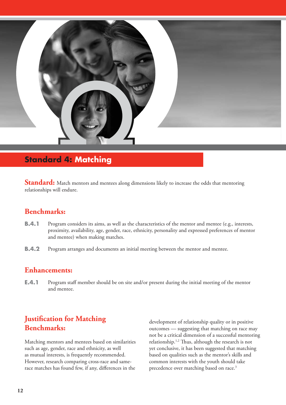

# **Standard 4: Matching**

**Standard:** Match mentors and mentees along dimensions likely to increase the odds that mentoring relationships will endure.

# **Benchmarks:**

- **B.4.1** Program considers its aims, as well as the characteristics of the mentor and mentee (e.g., interests, proximity, availability, age, gender, race, ethnicity, personality and expressed preferences of mentor and mentee) when making matches.
- **B.4.2** Program arranges and documents an initial meeting between the mentor and mentee.

## **Enhancements:**

**E.4.1** Program staff member should be on site and/or present during the initial meeting of the mentor and mentee.

# **Justification for Matching Benchmarks:**

Matching mentors and mentees based on similarities such as age, gender, race and ethnicity, as well as mutual interests, is frequently recommended. However, research comparing cross-race and samerace matches has found few, if any, differences in the

development of relationship quality or in positive outcomes — suggesting that matching on race may not be a critical dimension of a successful mentoring relationship.<sup>1,2</sup> Thus, although the research is not yet conclusive, it has been suggested that matching based on qualities such as the mentor's skills and common interests with the youth should take precedence over matching based on race.<sup>3</sup>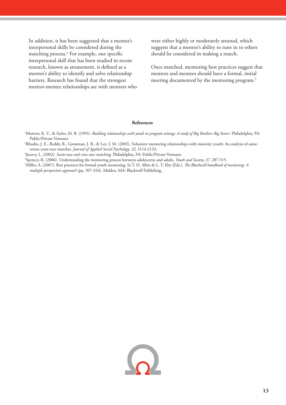In addition, it has been suggested that a mentor's interpersonal skills be considered during the matching process.<sup>4</sup> For example, one specific interpersonal skill that has been studied in recent research, known as attunement, is defined as a mentor's ability to identify and solve relationship barriers. Research has found that the strongest mentor-mentee relationships are with mentors who were either highly or moderately attuned, which suggests that a mentor's ability to tune in to others should be considered in making a match.

Once matched, mentoring best practices suggest that mentors and mentees should have a formal, initial meeting documented by the mentoring program.<sup>5</sup>

#### **References**

1 Morrow, K. V., & Styles, M. B. (1995). *Building relationships with youth in program settings: A study of Big Brothers Big Sisters.* Philadelphia, PA: Public/Private Ventures.

2 Rhodes, J. E., Reddy, R., Grossman, J. B., & Lee, J. M. (2002). Volunteer mentoring relationships with minority youth: An analysis of sameversus cross-race matches. *Journal of Applied Social Psychology, 32,* 2114-2133.

<sup>3</sup>Jucovy, L. (2002). *Same-race and cross-race matching*. Philadelphia, PA: Public/Private Ventures.<br><sup>4</sup>Spencer - R. (2006). Understanding the mentoring process between adolescents and adults. *Yout* 

Spencer, R. (2006). Understanding the mentoring process between adolescents and adults. *Youth and Society, 37,* 287-315.

<sup>5</sup>Miller, A. (2007). Best practices for formal youth mentoring. In T. D. Allen & L. T. Eby (Eds.), *The Blackwell handbook of mentoring: A multiple perspectives approach* (pp. 307-324). Malden, MA: Blackwell Publishing.

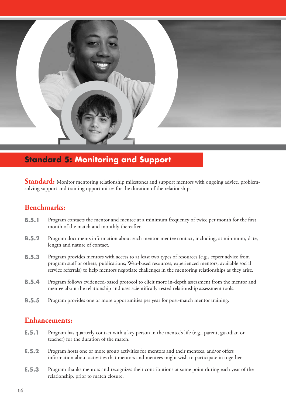

# **Standard 5: Monitoring and Support**

**Standard:** Monitor mentoring relationship milestones and support mentors with ongoing advice, problemsolving support and training opportunities for the duration of the relationship.

## **Benchmarks:**

- **B.5.1** Program contacts the mentor and mentee at a minimum frequency of twice per month for the first month of the match and monthly thereafter.
- **B.5.2** Program documents information about each mentor-mentee contact, including, at minimum, date, length and nature of contact.
- **B.5.3** Program provides mentors with access to at least two types of resources (e.g., expert advice from program staff or others; publications; Web-based resources; experienced mentors; available social service referrals) to help mentors negotiate challenges in the mentoring relationships as they arise.
- **B.5.4** Program follows evidenced-based protocol to elicit more in-depth assessment from the mentor and mentee about the relationship and uses scientifically-tested relationship assessment tools.
- **B.5.5** Program provides one or more opportunities per year for post-match mentor training.

## **Enhancements:**

- **E.5.1** Program has quarterly contact with a key person in the mentee's life (e.g., parent, guardian or teacher) for the duration of the match.
- **E.5.2** Program hosts one or more group activities for mentors and their mentees, and/or offers information about activities that mentors and mentees might wish to participate in together.
- **E.5.3** Program thanks mentors and recognizes their contributions at some point during each year of the relationship, prior to match closure.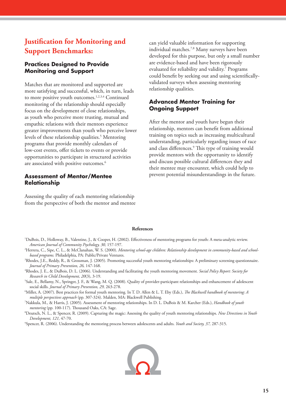# **Justification for Monitoring and Support Benchmarks:**

#### **Practices Designed to Provide Monitoring and Support**

Matches that are monitored and supported are more satisfying and successful, which, in turn, leads to more positive youth outcomes.<sup>1,2,3,4</sup> Continued monitoring of the relationship should especially focus on the development of close relationships, as youth who perceive more trusting, mutual and empathic relations with their mentors experience greater improvements than youth who perceive lower levels of these relationship qualities.<sup>5</sup> Mentoring programs that provide monthly calendars of low-cost events, offer tickets to events or provide opportunities to participate in structured activities are associated with positive outcomes.<sup>6</sup>

#### **Assessment of Mentor/Mentee Relationship**

Assessing the quality of each mentoring relationship from the perspective of both the mentor and mentee can yield valuable information for supporting individual matches.7,8 Many surveys have been developed for this purpose, but only a small number are evidence-based and have been rigorously evaluated for reliability and validity.<sup>7</sup> Programs could benefit by seeking out and using scientificallyvalidated surveys when assessing mentoring relationship qualities.

#### **Advanced Mentor Training for Ongoing Support**

After the mentor and youth have begun their relationship, mentors can benefit from additional training on topics such as increasing multicultural understanding, particularly regarding issues of race and class differences.<sup>9</sup> This type of training would provide mentors with the opportunity to identify and discuss possible cultural differences they and their mentee may encounter, which could help to prevent potential misunderstandings in the future.

#### **References**

- <sup>1</sup>DuBois, D., Holloway, B., Valentine, J., & Cooper, H. (2002). Effectiveness of mentoring programs for youth: A meta-analytic review. *American Journal of Community Psychology, 30,* 157-197.
- <sup>2</sup>Herrera, C., Sipe, C. L., & McClanahan, W. S. (2000). *Mentoring school-age children: Relationship development in community-based and schoolbased programs.* Philadelphia, PA: Public/Private Ventures.
- 3 Rhodes, J.E., Reddy, R., & Grossman, J. (2005). Promoting successful youth mentoring relationships: A preliminary screening questionnaire. *Journal of Primary Prevention, 26,* 147-168. 4
- Rhodes, J. E., & DuBois, D. L. (2006). Understanding and facilitating the youth mentoring movement. *Social Policy Report: Society for Research in Child Development, 20*(3), 3-19.
- 5 Sale, E., Bellamy, N., Springer, J. F., & Wang, M. Q. (2008). Quality of provider-participant relationships and enhancement of adolescent social skills. *Journal of Primary Prevention, 29,* 263-278. 6
- <sup>6</sup>Miller, A. (2007). Best practices for formal youth mentoring. In T. D. Allen & L. T. Eby (Eds.), *The Blackwell handbook of mentoring: A multiple perspectives approach* (pp. 307-324). Malden, MA: Blackwell Publishing.
- 7 Nakkula, M., & Harris, J. (2005). Assessment of mentoring relationships. In D. L. DuBois & M. Karcher (Eds.), *Handbook of youth mentoring* (pp. 100-117). Thousand Oaks, CA: Sage.
- 8 Deutsch, N. L., & Spencer, R. (2009). Capturing the magic: Assessing the quality of youth mentoring relationships. *New Directions in Youth Development, 121,* 47-70.

9 Spencer, R. (2006). Understanding the mentoring process between adolescents and adults. *Youth and Society, 37,* 287-315.

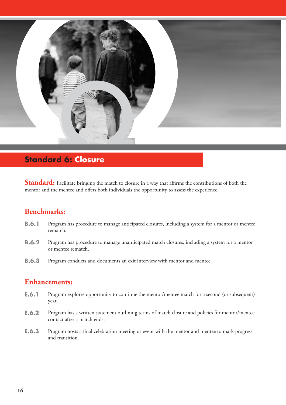

# **Standard 6: Closure**

**Standard:** Facilitate bringing the match to closure in a way that affirms the contributions of both the mentor and the mentee and offers both individuals the opportunity to assess the experience.

# **Benchmarks:**

- **B.6.1** Program has procedure to manage anticipated closures, including a system for a mentor or mentee rematch.
- **B.6.2** Program has procedure to manage unanticipated match closures, including a system for a mentor or mentee rematch.
- **B.6.3** Program conducts and documents an exit interview with mentor and mentee.

# **Enhancements:**

- **E.6.1** Program explores opportunity to continue the mentor/mentee match for a second (or subsequent) year.
- **E.6.2** Program has a written statement outlining terms of match closure and policies for mentor/mentee contact after a match ends.
- **E.6.3** Program hosts a final celebration meeting or event with the mentor and mentee to mark progress and transition.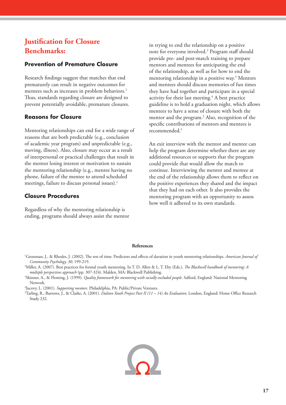# **Justification for Closure Benchmarks:**

#### **Prevention of Premature Closure**

Research findings suggest that matches that end prematurely can result in negative outcomes for mentees such as increases in problem behaviors.<sup>1</sup> Thus, standards regarding closure are designed to prevent potentially avoidable, premature closures.

#### **Reasons for Closure**

Mentoring relationships can end for a wide range of reasons that are both predictable (e.g., conclusion of academic year program) and unpredictable (e.g., moving, illness). Also, closure may occur as a result of interpersonal or practical challenges that result in the mentor losing interest or motivation to sustain the mentoring relationship (e.g., mentee having no phone, failure of the mentee to attend scheduled meetings, failure to discuss personal issues).<sup>1</sup>

#### **Closure Procedures**

Regardless of why the mentoring relationship is ending, programs should always assist the mentor

in trying to end the relationship on a positive note for everyone involved.2 Program staff should provide pre- and post-match training to prepare mentors and mentees for anticipating the end of the relationship, as well as for how to end the mentoring relationship in a positive way.3 Mentors and mentees should discuss memories of fun times they have had together and participate in a special activity for their last meeting.4 A best practice guideline is to hold a graduation night, which allows mentees to have a sense of closure with both the mentor and the program.<sup>2</sup> Also, recognition of the specific contributions of mentors and mentees is recommended.5

An exit interview with the mentor and mentee can help the program determine whether there are any additional resources or supports that the program could provide that would allow the match to continue. Interviewing the mentor and mentee at the end of the relationship allows them to reflect on the positive experiences they shared and the impact that they had on each other. It also provides the mentoring program with an opportunity to assess how well it adhered to its own standards.

#### **References**

<sup>1</sup>Grossman, J., & Rhodes, J. (2002). The test of time: Predictors and effects of duration in youth mentoring relationships. American Journal of *Community Psychology, 30,* 199-219.

<sup>2</sup>Miller, A. (2007). Best practices for formal youth mentoring. In T. D. Allen & L. T. Eby (Eds.), *The Blackwell handbook of mentoring: A multiple perspectives approach* (pp. 307-324). Malden, MA: Blackwell Publishing.

- <sup>3</sup>Skinner, A., & Fleming, J. (1999). *Quality framework for mentoring with socially excluded people.* Salford, England: National Mentoring Network.
- 4 Jucovy, L. (2001). *Supporting mentors.* Philadelphia, PA: Public/Private Ventures.

<sup>5</sup>Tarling, R., Burrows, J., & Clarke, A. (2001). *Dalston Youth Project Part II (11 – 14) An Evaluation*. London, England: Home Office Research Study 232.

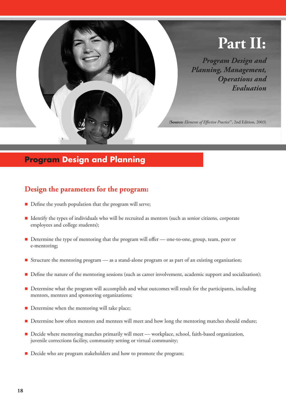

# **Program Design and Planning**

# **Design the parameters for the program:**

- $\blacksquare$  Define the youth population that the program will serve;
- Identify the types of individuals who will be recruited as mentors (such as senior citizens, corporate employees and college students);
- Determine the type of mentoring that the program will offer one-to-one, group, team, peer or e-mentoring;
- Structure the mentoring program as a stand-alone program or as part of an existing organization;
- Define the nature of the mentoring sessions (such as career involvement, academic support and socialization);
- Determine what the program will accomplish and what outcomes will result for the participants, including mentors, mentees and sponsoring organizations;
- Determine when the mentoring will take place;
- Determine how often mentors and mentees will meet and how long the mentoring matches should endure;
- Decide where mentoring matches primarily will meet workplace, school, faith-based organization, juvenile corrections facility, community setting or virtual community;
- Decide who are program stakeholders and how to promote the program;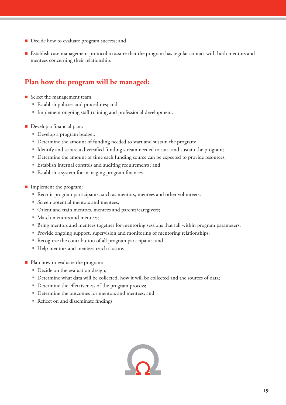- Decide how to evaluate program success; and
- **Establish case management protocol to assure that the program has regular contact with both mentors and** mentees concerning their relationship.

# **Plan how the program will be managed:**

- Select the management team:
	- Establish policies and procedures; and
	- Implement ongoing staff training and professional development.
- Develop a financial plan:
	- Develop a program budget;
	- Determine the amount of funding needed to start and sustain the program;
	- Identify and secure a diversified funding stream needed to start and sustain the program;
	- Determine the amount of time each funding source can be expected to provide resources;
	- Establish internal controls and auditing requirements; and
	- **Establish a system for managing program finances.**
- **Implement the program:** 
	- Recruit program participants, such as mentors, mentees and other volunteers;
	- Screen potential mentors and mentees;
	- Orient and train mentors, mentees and parents/caregivers;
	- Match mentors and mentees;
	- Bring mentors and mentees together for mentoring sessions that fall within program parameters;
	- **Provide ongoing support, supervision and monitoring of mentoring relationships;**
	- Recognize the contribution of all program participants; and
	- Help mentors and mentees reach closure.
- Plan how to evaluate the program:
	- Decide on the evaluation design;
	- Determine what data will be collected, how it will be collected and the sources of data;
	- Determine the effectiveness of the program process;
	- Determine the outcomes for mentors and mentees; and
	- Reflect on and disseminate findings.

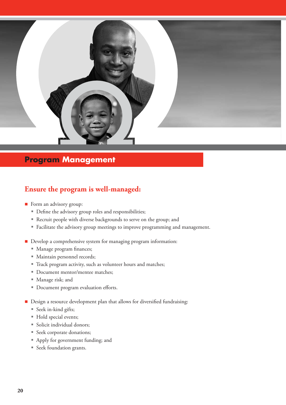

# **Program Management**

# **Ensure the program is well-managed:**

- Form an advisory group:
	- Define the advisory group roles and responsibilities;
	- Recruit people with diverse backgrounds to serve on the group; and
	- Facilitate the advisory group meetings to improve programming and management.
- Develop a comprehensive system for managing program information:
	- Manage program finances;
	- Maintain personnel records;
	- Track program activity, such as volunteer hours and matches;
	- Document mentor/mentee matches;
	- Manage risk; and
	- " Document program evaluation efforts.
- $\blacksquare$  Design a resource development plan that allows for diversified fundraising:
	- Seek in-kind gifts;
	- Hold special events;
	- Solicit individual donors;
	- Seek corporate donations;
	- Apply for government funding; and
	- Seek foundation grants.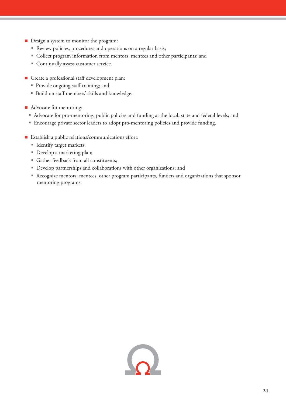- Design a system to monitor the program:
	- Review policies, procedures and operations on a regular basis;
	- Collect program information from mentors, mentees and other participants; and
	- Continually assess customer service.
- Create a professional staff development plan:
	- Provide ongoing staff training; and
	- Build on staff members' skills and knowledge.
- Advocate for mentoring:
	- Advocate for pro-mentoring, public policies and funding at the local, state and federal levels; and
	- Encourage private sector leaders to adopt pro-mentoring policies and provide funding.
- $\blacksquare$  Establish a public relations/communications effort:
	- Identify target markets;
	- Develop a marketing plan;
	- Gather feedback from all constituents;
	- Develop partnerships and collaborations with other organizations; and
	- Recognize mentors, mentees, other program participants, funders and organizations that sponsor mentoring programs.

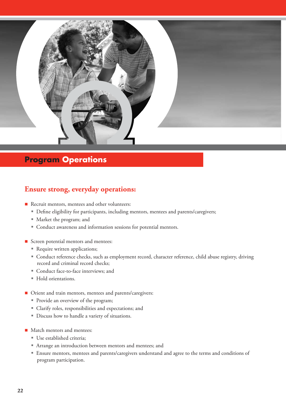

# **Program Operations**

# **Ensure strong, everyday operations:**

- Recruit mentors, mentees and other volunteers:
	- Define eligibility for participants, including mentors, mentees and parents/caregivers;
	- Market the program; and
	- Conduct awareness and information sessions for potential mentors.
- Screen potential mentors and mentees:
	- Require written applications;
	- Conduct reference checks, such as employment record, character reference, child abuse registry, driving record and criminal record checks;
	- Conduct face-to-face interviews; and
	- Hold orientations.
- Orient and train mentors, mentees and parents/caregivers:
	- Provide an overview of the program;
	- Clarify roles, responsibilities and expectations; and
	- Discuss how to handle a variety of situations.
- Match mentors and mentees:
	- Use established criteria;
	- Arrange an introduction between mentors and mentees; and
	- Ensure mentors, mentees and parents/caregivers understand and agree to the terms and conditions of program participation.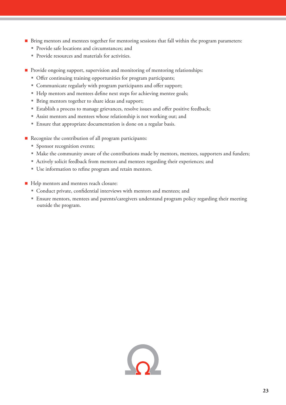- Bring mentors and mentees together for mentoring sessions that fall within the program parameters:
	- Provide safe locations and circumstances; and
	- Provide resources and materials for activities.
- Provide ongoing support, supervision and monitoring of mentoring relationships:
	- Offer continuing training opportunities for program participants;
	- Communicate regularly with program participants and offer support;
	- Help mentors and mentees define next steps for achieving mentee goals;
	- Bring mentors together to share ideas and support;
	- **Establish a process to manage grievances, resolve issues and offer positive feedback;**
	- Assist mentors and mentees whose relationship is not working out; and
	- Ensure that appropriate documentation is done on a regular basis.
- Recognize the contribution of all program participants:
	- Sponsor recognition events;
	- Make the community aware of the contributions made by mentors, mentees, supporters and funders;
	- Actively solicit feedback from mentors and mentees regarding their experiences; and
	- Use information to refine program and retain mentors.
- Help mentors and mentees reach closure:
	- Conduct private, confidential interviews with mentors and mentees; and
	- Ensure mentors, mentees and parents/caregivers understand program policy regarding their meeting outside the program.

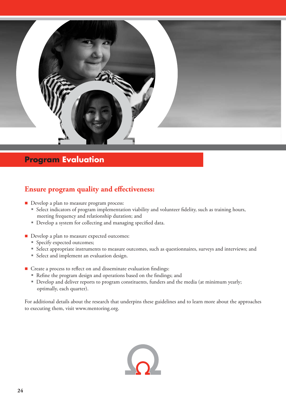

# **Program Evaluation**

# **Ensure program quality and effectiveness:**

- Develop a plan to measure program process:
	- <sup>■</sup> Select indicators of program implementation viability and volunteer fidelity, such as training hours, meeting frequency and relationship duration; and
	- Develop a system for collecting and managing specified data.
- Develop a plan to measure expected outcomes:
	- Specify expected outcomes;
	- Select appropriate instruments to measure outcomes, such as questionnaires, surveys and interviews; and
	- Select and implement an evaluation design.
- $\blacksquare$  Create a process to reflect on and disseminate evaluation findings:
	- Refine the program design and operations based on the findings; and
	- Develop and deliver reports to program constituents, funders and the media (at minimum yearly; optimally, each quarter).

For additional details about the research that underpins these guidelines and to learn more about the approaches to executing them, visit www.mentoring.org.

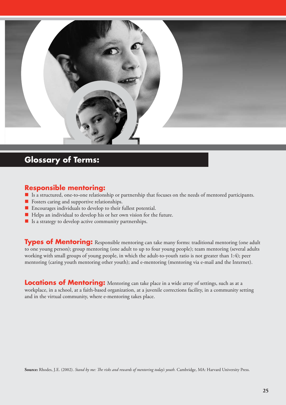

# **Glossary of Terms:**

## **Responsible mentoring:**

- Is a structured, one-to-one relationship or partnership that focuses on the needs of mentored participants.
- Fosters caring and supportive relationships.
- Encourages individuals to develop to their fullest potential.
- Helps an individual to develop his or her own vision for the future.
- $\blacksquare$  Is a strategy to develop active community partnerships.

**Types of Mentoring:** Responsible mentoring can take many forms: traditional mentoring (one adult to one young person); group mentoring (one adult to up to four young people); team mentoring (several adults working with small groups of young people, in which the adult-to-youth ratio is not greater than 1:4); peer mentoring (caring youth mentoring other youth); and e-mentoring (mentoring via e-mail and the Internet).

**Locations of Mentoring:** Mentoring can take place in a wide array of settings, such as at a workplace, in a school, at a faith-based organization, at a juvenile corrections facility, in a community setting and in the virtual community, where e-mentoring takes place.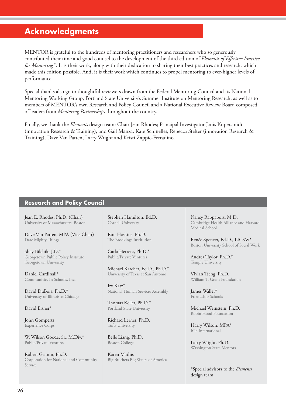# **Acknowledgments**

MENTOR is grateful to the hundreds of mentoring practitioners and researchers who so generously contributed their time and good counsel to the development of the third edition of *Elements of Effective Practice for Mentoring™*. It is their work, along with their dedication to sharing their best practices and research, which made this edition possible. And, it is their work which continues to propel mentoring to ever-higher levels of performance.

Special thanks also go to thoughtful reviewers drawn from the Federal Mentoring Council and its National Mentoring Working Group, Portland State University's Summer Institute on Mentoring Research, as well as to members of MENTOR's own Research and Policy Council and a National Executive Review Board composed of leaders from *Mentoring Partnerships* throughout the country.

Finally, we thank the *Elements* design team: Chair Jean Rhodes; Principal Investigator Janis Kupersmidt (innovation Research & Training); and Gail Manza, Kate Schineller, Rebecca Stelter (innovation Research & Training), Dave Van Patten, Larry Wright and Kristi Zappie-Ferradino.

#### **Research and Policy Council**

Jean E. Rhodes, Ph.D. (Chair) University of Massachusetts, Boston

Dave Van Patten, MPA (Vice Chair) Dare Mighty Things

Shay Bilchik, J.D.\* Georgetown Public Policy Institute Georgetown University

Daniel Cardinali\* Communities In Schools, Inc.

David DuBois, Ph.D.\* University of Illinois at Chicago

#### David Eisner\*

John Gomperts Experience Corps

W. Wilson Goode, Sr., M.Div.\* Public/Private Ventures

Robert Grimm, Ph.D. Corporation for National and Community Service

Stephen Hamilton, Ed.D. Cornell University

Ron Haskins, Ph.D. The Brookings Institution

Carla Herrera, Ph.D.\* Public/Private Ventures

Michael Karcher, Ed.D., Ph.D.\* University of Texas at San Antonio

Irv Katz\* National Human Services Assembly

Thomas Keller, Ph.D.\* Portland State University

Richard Lerner, Ph.D. Tufts University

Belle Liang, Ph.D. Boston College

Karen Mathis Big Brothers Big Sisters of America Nancy Rappaport, M.D. Cambridge Health Alliance and Harvard Medical School

Renée Spencer, Ed.D., LICSW\* Boston University School of Social Work

Andrea Taylor, Ph.D.\* Temple University

Vivian Tseng, Ph.D. William T. Grant Foundation

James Waller\* Friendship Schools

Michael Weinstein, Ph.D. Robin Hood Foundation

Harry Wilson, MPA\* ICF International

Larry Wright, Ph.D. Washington State Mentors

\*Special advisors to the *Elements* design team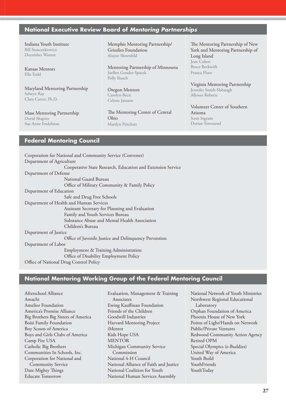#### **National Executive Review Board of** *Mentoring Partnerships*

Indiana Youth Institute Bill Stanczykiewicz December Warren

Kansas Mentors Ella Todd

Maryland Mentoring Partnership Selwyn Ray Clara Carter, Ph.D.

Mass Mentoring Partnership David Shapiro Sue Anne Endelman

Memphis Mentoring Partnership/ Grizzlies Foundation Alayne Shoenfeld

Mentoring Partnership of Minnesota Joellen Gonder-Spacek Polly Roach

Oregon Mentors Carolyn Becic Celeste Janssen

The Mentoring Center of Central Ohio Marilyn Pritchett

The Mentoring Partnership of New York and Mentoring Partnership of Long Island Jean Cohen Bruce Beckwith Franca Floro

Virginia Mentoring Partnership Jennifer Smith-Slabaugh Allyson Roberts

Volunteer Center of Southern Arizona Scott Ingram Dorian Townsend

#### **Federal Mentoring Council**

Corporation for National and Community Service (Convener) Department of Agriculture Cooperative State Research, Education and Extension Service Department of Defense National Guard Bureau Office of Military Community & Family Policy Department of Education Safe and Drug Free Schools Department of Health and Human Services Assistant Secretary for Planning and Evaluation Family and Youth Services Bureau Substance Abuse and Mental Health Association Children's Bureau Department of Justice Office of Juvenile Justice and Delinquency Prevention Department of Labor Employment & Training Administration Office of Disability Employment Policy Office of National Drug Control Policy

#### **National Mentoring Working Group of the Federal Mentoring Council**

Afterschool Alliance Amachi Amelior Foundation America's Promise Alliance Big Brothers Big Sisters of America Boisi Family Foundation Boy Scouts of America Boys and Girls Clubs of America Camp Fire USA Catholic Big Brothers Communities In Schools, Inc. Corporation for National and Community Service Dare Mighty Things Educate Tomorrow

Evaluation, Management & Training Associates Ewing Kauffman Foundation Friends of the Children Goodwill Industries Harvard Mentoring Project iMentor Kids Hope USA MENTOR Michigan Community Service Commission National 4-H Council National Alliance of Faith and Justice National Coalition for Youth National Human Services Assembly

National Network of Youth Ministries Northwest Regional Educational Laboratory Orphan Foundation of America Phoenix House of New York Points of Light/Hands on Network Public/Private Ventures Redwood Community Action Agency Retired OPM Special Olympics (e-Buddies) United Way of America Youth Build **YouthFriends** YouthToday